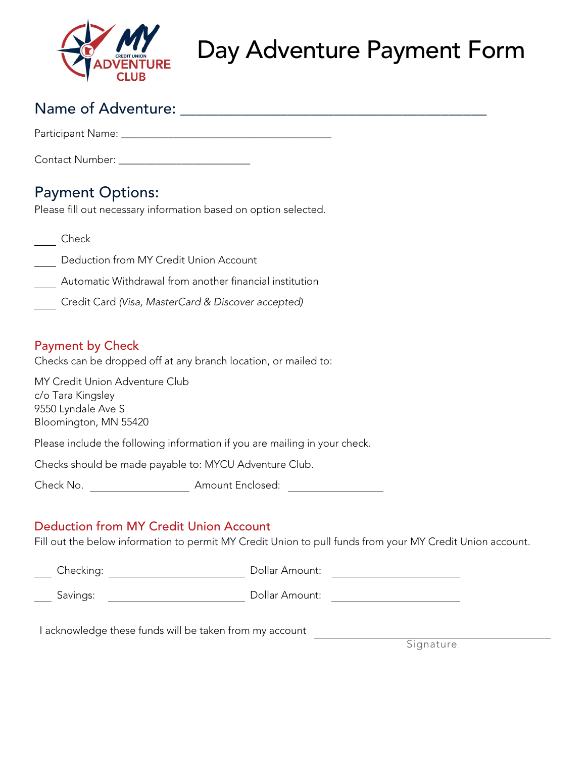

## Day Adventure Payment Form

### Name of Adventure: \_\_\_\_\_\_\_\_\_\_\_\_\_\_\_\_\_\_\_\_\_\_\_\_\_\_\_\_\_\_\_\_\_\_\_\_\_\_\_\_

Participant Name:  $\blacksquare$ 

Contact Number:  $\blacksquare$ 

### Payment Options:

Please fill out necessary information based on option selected.

- **Check**
- Deduction from MY Credit Union Account
- Automatic Withdrawal from another financial institution
- Credit Card *(Visa, MasterCard & Discover accepted)*

#### Payment by Check

Checks can be dropped off at any branch location, or mailed to:

MY Credit Union Adventure Club c/o Tara Kingsley 9550 Lyndale Ave S Bloomington, MN 55420

Please include the following information if you are mailing in your check.

Checks should be made payable to: MYCU Adventure Club.

Check No. <u>\_\_\_\_\_\_\_\_\_\_\_\_\_\_\_\_\_\_\_\_\_\_\_\_</u> Amount Enclosed: \_\_\_\_\_\_\_\_\_\_\_\_\_\_\_\_\_\_\_\_\_\_\_\_\_\_\_

#### Deduction from MY Credit Union Account

Fill out the below information to permit MY Credit Union to pull funds from your MY Credit Union account.

Checking: Dollar Amount:

Savings: Dollar Amount:

I acknowledge these funds will be taken from my account

**Signature**